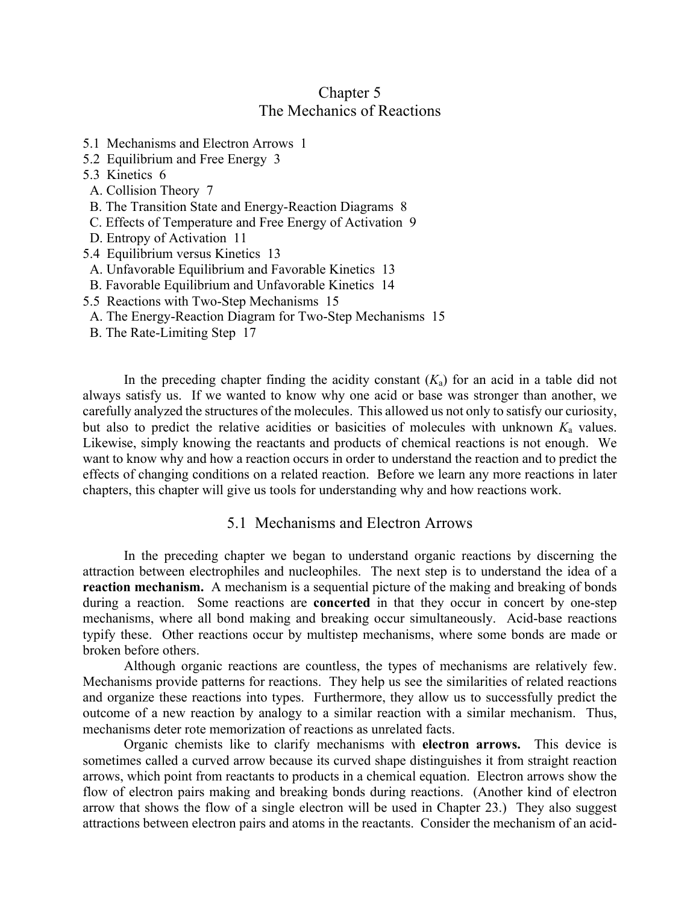## Chapter 5 The Mechanics of Reactions

- 5.1 Mechanisms and Electron Arrows 1
- 5.2 Equilibrium and Free Energy 3
- 5.3 Kinetics 6
- A. Collision Theory 7
- B. The Transition State and Energy-Reaction Diagrams 8
- C. Effects of Temperature and Free Energy of Activation 9
- D. Entropy of Activation 11
- 5.4 Equilibrium versus Kinetics 13
- A. Unfavorable Equilibrium and Favorable Kinetics 13
- B. Favorable Equilibrium and Unfavorable Kinetics 14
- 5.5 Reactions with Two-Step Mechanisms 15
- A. The Energy-Reaction Diagram for Two-Step Mechanisms 15
- B. The Rate-Limiting Step 17

In the preceding chapter finding the acidity constant  $(K_a)$  for an acid in a table did not always satisfy us. If we wanted to know why one acid or base was stronger than another, we carefully analyzed the structures of the molecules. This allowed us not only to satisfy our curiosity, but also to predict the relative acidities or basicities of molecules with unknown  $K_a$  values. Likewise, simply knowing the reactants and products of chemical reactions is not enough. We want to know why and how a reaction occurs in order to understand the reaction and to predict the effects of changing conditions on a related reaction. Before we learn any more reactions in later chapters, this chapter will give us tools for understanding why and how reactions work.

## 5.1 Mechanisms and Electron Arrows

In the preceding chapter we began to understand organic reactions by discerning the attraction between electrophiles and nucleophiles. The next step is to understand the idea of a **reaction mechanism.** A mechanism is a sequential picture of the making and breaking of bonds during a reaction. Some reactions are **concerted** in that they occur in concert by one-step mechanisms, where all bond making and breaking occur simultaneously. Acid-base reactions typify these. Other reactions occur by multistep mechanisms, where some bonds are made or broken before others.

Although organic reactions are countless, the types of mechanisms are relatively few. Mechanisms provide patterns for reactions. They help us see the similarities of related reactions and organize these reactions into types. Furthermore, they allow us to successfully predict the outcome of a new reaction by analogy to a similar reaction with a similar mechanism. Thus, mechanisms deter rote memorization of reactions as unrelated facts.

Organic chemists like to clarify mechanisms with **electron arrows.** This device is sometimes called a curved arrow because its curved shape distinguishes it from straight reaction arrows, which point from reactants to products in a chemical equation. Electron arrows show the flow of electron pairs making and breaking bonds during reactions. (Another kind of electron arrow that shows the flow of a single electron will be used in Chapter 23.) They also suggest attractions between electron pairs and atoms in the reactants. Consider the mechanism of an acid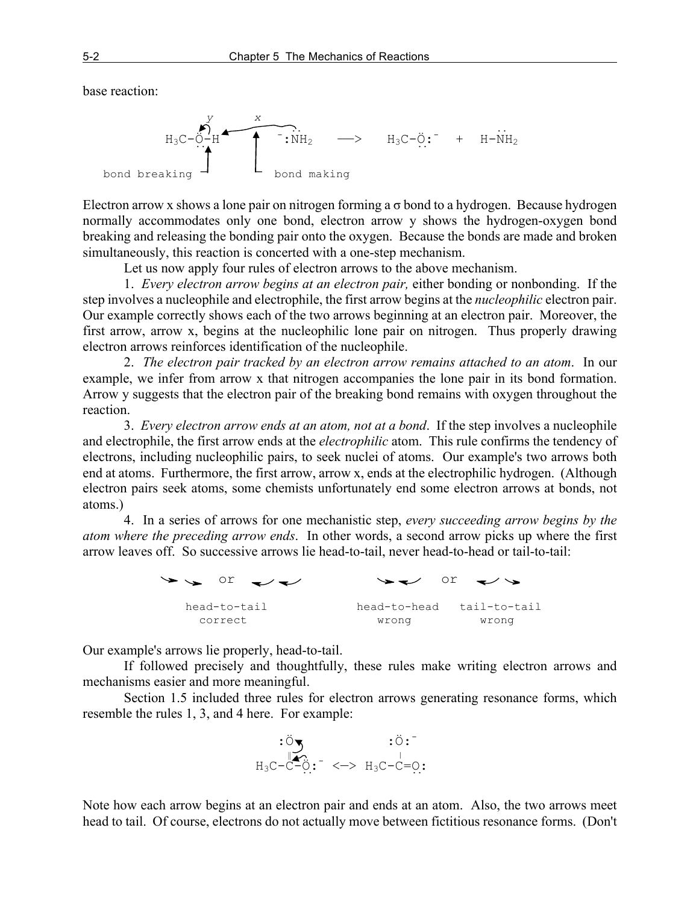base reaction:



Electron arrow x shows a lone pair on nitrogen forming a  $\sigma$  bond to a hydrogen. Because hydrogen normally accommodates only one bond, electron arrow y shows the hydrogen-oxygen bond breaking and releasing the bonding pair onto the oxygen. Because the bonds are made and broken simultaneously, this reaction is concerted with a one-step mechanism.

Let us now apply four rules of electron arrows to the above mechanism.

1. *Every electron arrow begins at an electron pair,* either bonding or nonbonding. If the step involves a nucleophile and electrophile, the first arrow begins at the *nucleophilic* electron pair. Our example correctly shows each of the two arrows beginning at an electron pair. Moreover, the first arrow, arrow x, begins at the nucleophilic lone pair on nitrogen. Thus properly drawing electron arrows reinforces identification of the nucleophile.

2. *The electron pair tracked by an electron arrow remains attached to an atom*. In our example, we infer from arrow x that nitrogen accompanies the lone pair in its bond formation. Arrow y suggests that the electron pair of the breaking bond remains with oxygen throughout the reaction.

3. *Every electron arrow ends at an atom, not at a bond*. If the step involves a nucleophile and electrophile, the first arrow ends at the *electrophilic* atom. This rule confirms the tendency of electrons, including nucleophilic pairs, to seek nuclei of atoms. Our example's two arrows both end at atoms. Furthermore, the first arrow, arrow x, ends at the electrophilic hydrogen. (Although electron pairs seek atoms, some chemists unfortunately end some electron arrows at bonds, not atoms.)

4. In a series of arrows for one mechanistic step, *every succeeding arrow begins by the atom where the preceding arrow ends*. In other words, a second arrow picks up where the first arrow leaves off. So successive arrows lie head-to-tail, never head-to-head or tail-to-tail:

> $\rightarrow$  or  $\rightarrow$   $\rightarrow$   $\rightarrow$  or head-to-tail head-to-head tail-to-tail correct wrong wrong wrong

Our example's arrows lie properly, head-to-tail.

If followed precisely and thoughtfully, these rules make writing electron arrows and mechanisms easier and more meaningful.

Section 1.5 included three rules for electron arrows generating resonance forms, which resemble the rules 1, 3, and 4 here. For example:



Note how each arrow begins at an electron pair and ends at an atom. Also, the two arrows meet head to tail. Of course, electrons do not actually move between fictitious resonance forms. (Don't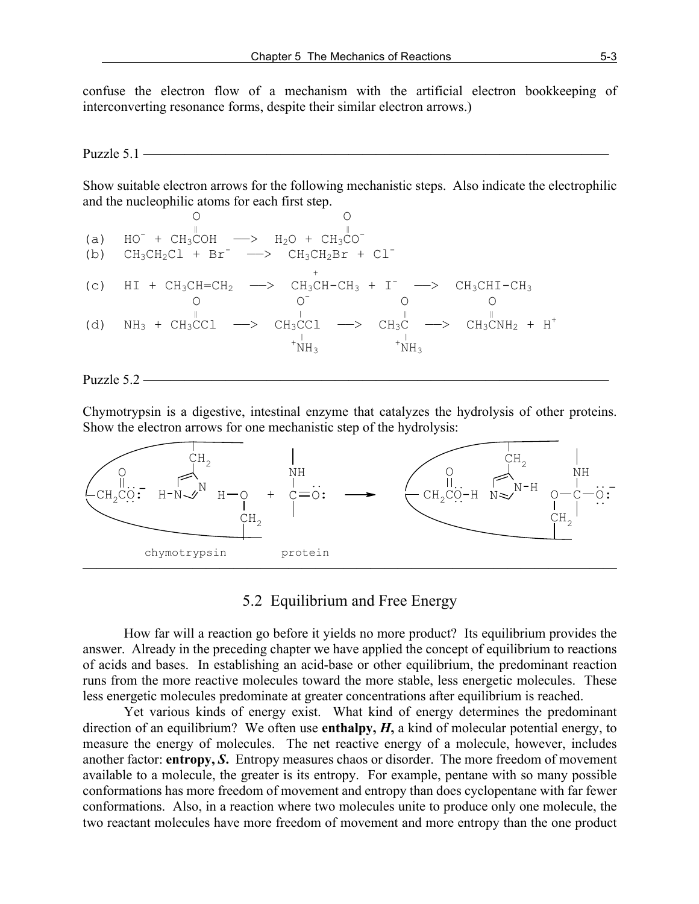confuse the electron flow of a mechanism with the artificial electron bookkeeping of interconverting resonance forms, despite their similar electron arrows.)

### Puzzle 5.1 ——————————————————————————————————

Show suitable electron arrows for the following mechanistic steps. Also indicate the electrophilic and the nucleophilic atoms for each first step.

 O O ‖ ‖ (a) HO- + CH3COH ——> H2O + CH3CO- (b) CH3CH2Cl + Br- ——> CH3CH2Br + Cl- + (c) HI + CH3CH=CH2 ——> CH3CH-CH3 + I- ——> CH3CHI-CH3 O O- O O ‖ | ‖ ‖ (d) NH3 + CH3CCl ——> CH3CCl ——> CH3C ——> CH3CNH2 + H<sup>+</sup> | | <sup>+</sup> NH3 <sup>+</sup> NH3

#### Puzzle 5.2 ——————————————————————————————————

Chymotrypsin is a digestive, intestinal enzyme that catalyzes the hydrolysis of other proteins. Show the electron arrows for one mechanistic step of the hydrolysis:



### 5.2 Equilibrium and Free Energy

How far will a reaction go before it yields no more product? Its equilibrium provides the answer. Already in the preceding chapter we have applied the concept of equilibrium to reactions of acids and bases. In establishing an acid-base or other equilibrium, the predominant reaction runs from the more reactive molecules toward the more stable, less energetic molecules. These less energetic molecules predominate at greater concentrations after equilibrium is reached.

Yet various kinds of energy exist. What kind of energy determines the predominant direction of an equilibrium? We often use **enthalpy,** *H***,** a kind of molecular potential energy, to measure the energy of molecules. The net reactive energy of a molecule, however, includes another factor: **entropy,** *S***.** Entropy measures chaos or disorder. The more freedom of movement available to a molecule, the greater is its entropy. For example, pentane with so many possible conformations has more freedom of movement and entropy than does cyclopentane with far fewer conformations. Also, in a reaction where two molecules unite to produce only one molecule, the two reactant molecules have more freedom of movement and more entropy than the one product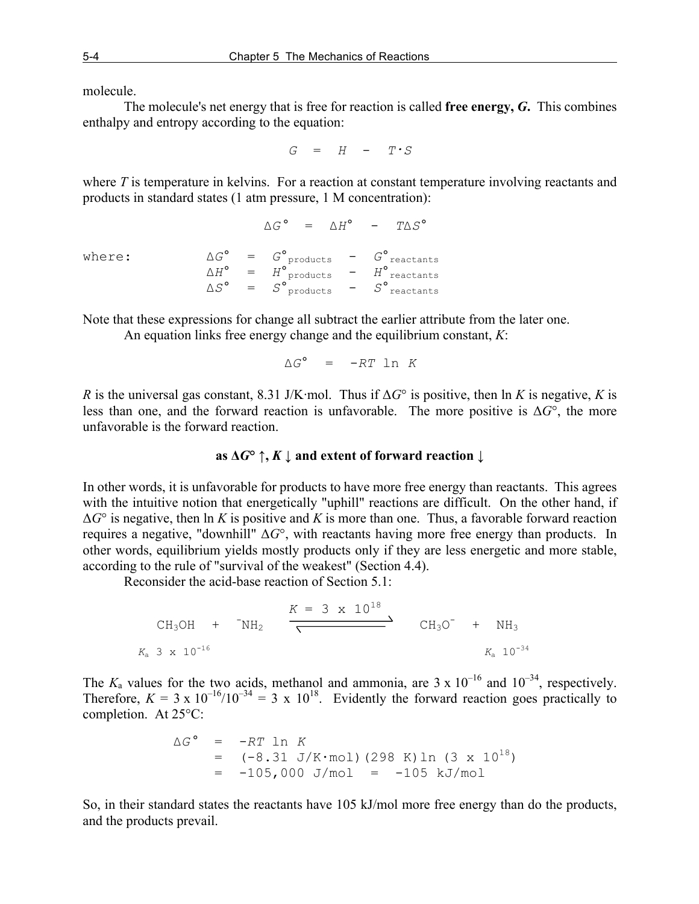molecule.

The molecule's net energy that is free for reaction is called **free energy,** *G***.** This combines enthalpy and entropy according to the equation:

 $G = H - T \cdot S$ 

where *T* is temperature in kelvins. For a reaction at constant temperature involving reactants and products in standard states (1 atm pressure, 1 M concentration):

|        |  |  | $\Delta G^{\circ}$ = $\Delta H^{\circ}$ - $T\Delta S^{\circ}$ |                                                                   |
|--------|--|--|---------------------------------------------------------------|-------------------------------------------------------------------|
| where: |  |  |                                                               | $\Delta G^{\circ}$ = $G^{\circ}$ products - $G^{\circ}$ reactants |
|        |  |  |                                                               | $=$ $H^{\circ}$ products $=$ $H^{\circ}$ reactants                |
|        |  |  |                                                               | $\Delta S^{\circ}$ = $S^{\circ}$ products - $S^{\circ}$ reactants |

Note that these expressions for change all subtract the earlier attribute from the later one.

An equation links free energy change and the equilibrium constant, *K*:

$$
\Delta G^{\circ} = -RT \ln K
$$

*R* is the universal gas constant, 8.31 J/K·mol. Thus if  $\Delta G^{\circ}$  is positive, then ln *K* is negative, *K* is less than one, and the forward reaction is unfavorable. The more positive is Δ*G*°, the more unfavorable is the forward reaction.

### **as**  $\Delta G^{\circ} \uparrow$ **,**  $K \downarrow$  **and extent of forward reaction**  $\downarrow$

In other words, it is unfavorable for products to have more free energy than reactants. This agrees with the intuitive notion that energetically "uphill" reactions are difficult. On the other hand, if  $\Delta G^{\circ}$  is negative, then ln K is positive and K is more than one. Thus, a favorable forward reaction requires a negative, "downhill" Δ*G*°, with reactants having more free energy than products. In other words, equilibrium yields mostly products only if they are less energetic and more stable, according to the rule of "survival of the weakest" (Section 4.4).

Reconsider the acid-base reaction of Section 5.1:

CH<sub>3</sub>OH + 
$$
^{\circ}
$$
NH<sub>2</sub>  $\xrightarrow{K = 3 \times 10^{18}}$  CH<sub>3</sub>O<sup>-</sup> + NH<sub>3</sub>  
\n $K_a$  3 x 10<sup>-16</sup>  $K_a$  10<sup>-34</sup>

The  $K_a$  values for the two acids, methanol and ammonia, are  $3 \times 10^{-16}$  and  $10^{-34}$ , respectively. Therefore,  $K = 3 \times 10^{-16} / 10^{-34} = 3 \times 10^{18}$ . Evidently the forward reaction goes practically to completion. At 25°C:

$$
\Delta G^{\circ} = -RT \ln K
$$
  
= (-8.31 J/K/mol) (298 K) ln (3 x 10<sup>18</sup>)  
= -105,000 J/mol = -105 kJ/mol

So, in their standard states the reactants have 105 kJ/mol more free energy than do the products, and the products prevail.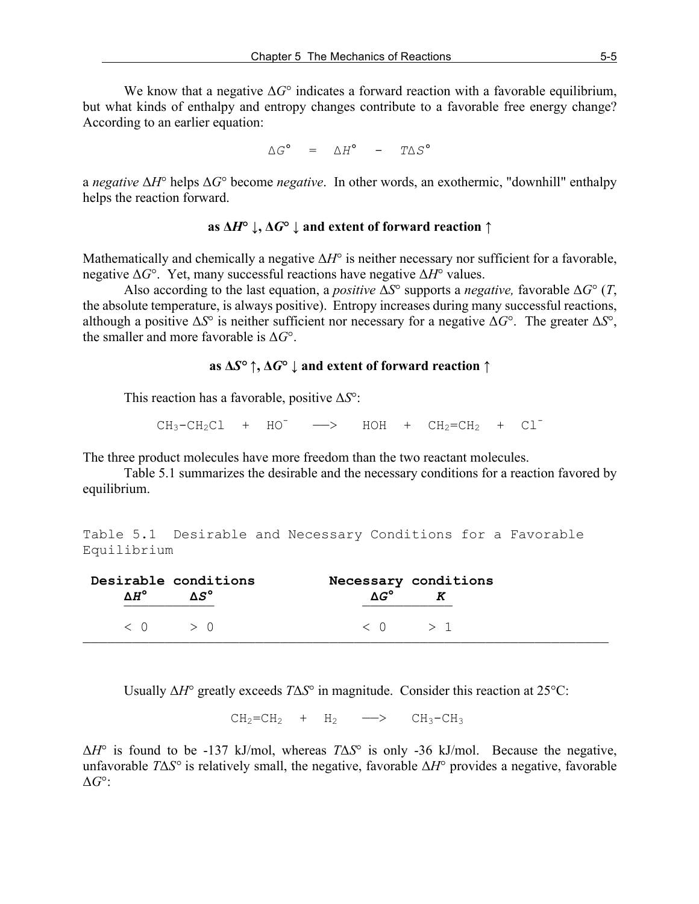We know that a negative  $\Delta G^{\circ}$  indicates a forward reaction with a favorable equilibrium, but what kinds of enthalpy and entropy changes contribute to a favorable free energy change? According to an earlier equation:

 $\Delta G^{\circ}$  =  $\Delta H^{\circ}$  -  $T\Delta S^{\circ}$ 

a *negative* Δ*H*° helps Δ*G*° become *negative*. In other words, an exothermic, "downhill" enthalpy helps the reaction forward.

### **as Δ***H***° ↓, Δ***G***° ↓ and extent of forward reaction ↑**

Mathematically and chemically a negative Δ*H*° is neither necessary nor sufficient for a favorable, negative Δ*G*°. Yet, many successful reactions have negative Δ*H*° values.

Also according to the last equation, a *positive*  $\overline{\Delta}S^{\circ}$  supports a *negative*, favorable  $\Delta G^{\circ}$  (*T*, the absolute temperature, is always positive). Entropy increases during many successful reactions, although a positive Δ*S*° is neither sufficient nor necessary for a negative Δ*G*°. The greater Δ*S*°, the smaller and more favorable is Δ*G*°.

### **as Δ***S° ↑***, Δ***G***° ↓ and extent of forward reaction ↑**

This reaction has a favorable, positive Δ*S*°:

 $CH_3-CH_2Cl$  +  $HO^ \longrightarrow$  HOH +  $CH_2=CH_2$  +  $Cl^-$ 

The three product molecules have more freedom than the two reactant molecules.

Table 5.1 summarizes the desirable and the necessary conditions for a reaction favored by equilibrium.

Table 5.1 Desirable and Necessary Conditions for a Favorable Equilibrium

| $\langle 0 \rangle$ $> 0$<br>$\langle 0 \rangle$ > 1 | $\Lambda H^{\circ}$ | Desirable conditions<br>$\Delta S^{\circ}$ | Necessary conditions |
|------------------------------------------------------|---------------------|--------------------------------------------|----------------------|
|                                                      |                     |                                            |                      |

Usually Δ*H*° greatly exceeds *T*Δ*S*° in magnitude. Consider this reaction at 25°C:

 $CH_2=CH_2$  +  $H_2$   $\longrightarrow$   $CH_3-CH_3$ 

Δ*H*° is found to be -137 kJ/mol, whereas *T*Δ*S*° is only -36 kJ/mol. Because the negative, unfavorable *T*Δ*S°* is relatively small, the negative, favorable Δ*H*° provides a negative, favorable Δ*G*°: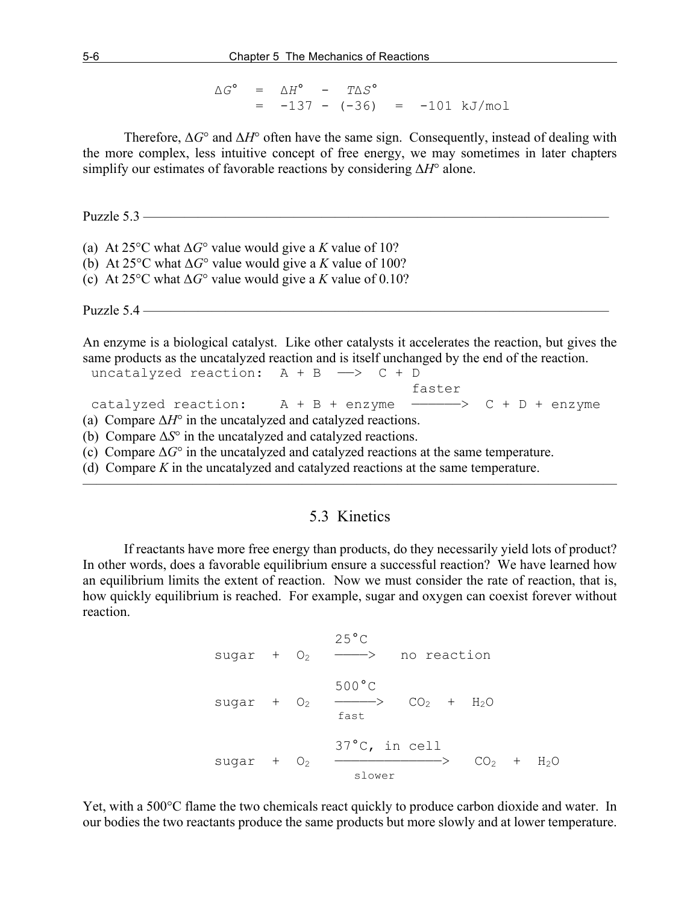$$
\Delta G^{\circ} = \Delta H^{\circ} - T\Delta S^{\circ}
$$
  
= -137 - (-36) = -101 kJ/mol

Therefore,  $\Delta G^{\circ}$  and  $\Delta H^{\circ}$  often have the same sign. Consequently, instead of dealing with the more complex, less intuitive concept of free energy, we may sometimes in later chapters simplify our estimates of favorable reactions by considering Δ*H*° alone.

Puzzle 5.3 ———

(a) At 25<sup>o</sup>C what  $\Delta G^{\circ}$  value would give a *K* value of 10?

- (b) At 25°C what Δ*G*° value would give a *K* value of 100?
- (c) At 25°C what Δ*G*° value would give a *K* value of 0.10?

Puzzle 5.4 ——————————————————————————————————

An enzyme is a biological catalyst. Like other catalysts it accelerates the reaction, but gives the same products as the uncatalyzed reaction and is itself unchanged by the end of the reaction. uncatalyzed reaction:  $A + B \longrightarrow C + D$ 

 faster catalyzed reaction:  $A + B + enzyme$  ---->  $C + D + enzyme$ (a) Compare  $\Delta H^{\circ}$  in the uncatalyzed and catalyzed reactions. (b) Compare Δ*S*° in the uncatalyzed and catalyzed reactions.

(c) Compare  $\Delta G^{\circ}$  in the uncatalyzed and catalyzed reactions at the same temperature.

(d) Compare *K* in the uncatalyzed and catalyzed reactions at the same temperature.

## 5.3 Kinetics

———————————————————————————————————————

If reactants have more free energy than products, do they necessarily yield lots of product? In other words, does a favorable equilibrium ensure a successful reaction? We have learned how an equilibrium limits the extent of reaction. Now we must consider the rate of reaction, that is, how quickly equilibrium is reached. For example, sugar and oxygen can coexist forever without reaction.

 $25^{\circ}$ C sugar +  $O_2$  ----> no reaction 500°C sugar +  $O_2$   $\longrightarrow$   $CO_2$  +  $H_2O$ <br>fast 37°C, in cell sugar +  $O_2$   $\longrightarrow$   $CO_2$  +  $H_2O$ 

Yet, with a 500°C flame the two chemicals react quickly to produce carbon dioxide and water. In our bodies the two reactants produce the same products but more slowly and at lower temperature.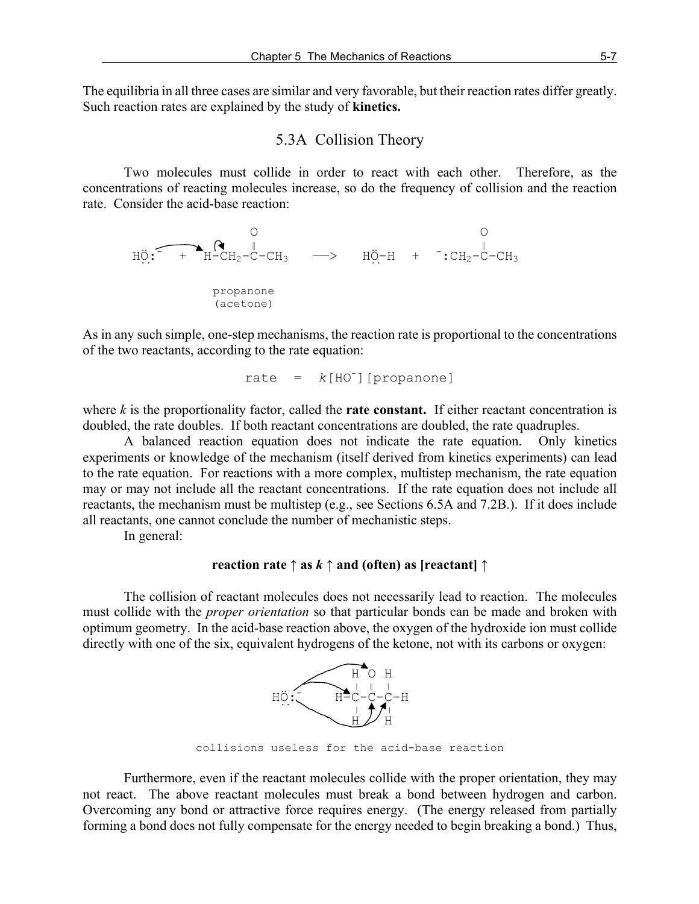The equilibria in all three cases are similar and very favorable, but their reaction rates differ greatly. Such reaction rates are explained by the study of **kinetics.**

### 5.3A Collision Theory

Two molecules must collide in order to react with each other. Therefore, as the concentrations of reacting molecules increase, so do the frequency of collision and the reaction rate. Consider the acid-base reaction:

 O O ‖ ‖ HÖ:- + H-CH2-C-CH3 ——> HÖ-H + - :CH2-C-CH3 .. .. propanone (acetone)

As in any such simple, one-step mechanisms, the reaction rate is proportional to the concentrations of the two reactants, according to the rate equation:

$$
rate = k[HO-][propanone]
$$

where  $k$  is the proportionality factor, called the **rate constant.** If either reactant concentration is doubled, the rate doubles. If both reactant concentrations are doubled, the rate quadruples.

A balanced reaction equation does not indicate the rate equation. Only kinetics experiments or knowledge of the mechanism (itself derived from kinetics experiments) can lead to the rate equation. For reactions with a more complex, multistep mechanism, the rate equation may or may not include all the reactant concentrations. If the rate equation does not include all reactants, the mechanism must be multistep (e.g., see Sections 6.5A and 7.2B.). If it does include all reactants, one cannot conclude the number of mechanistic steps.

In general:

### **reaction rate**  $\uparrow$  **as** *k*  $\uparrow$  **and** (often) as [reactant]  $\uparrow$

The collision of reactant molecules does not necessarily lead to reaction. The molecules must collide with the *proper orientation* so that particular bonds can be made and broken with optimum geometry. In the acid-base reaction above, the oxygen of the hydroxide ion must collide directly with one of the six, equivalent hydrogens of the ketone, not with its carbons or oxygen:



collisions useless for the acid-base reaction

Furthermore, even if the reactant molecules collide with the proper orientation, they may not react. The above reactant molecules must break a bond between hydrogen and carbon. Overcoming any bond or attractive force requires energy. (The energy released from partially forming a bond does not fully compensate for the energy needed to begin breaking a bond.) Thus,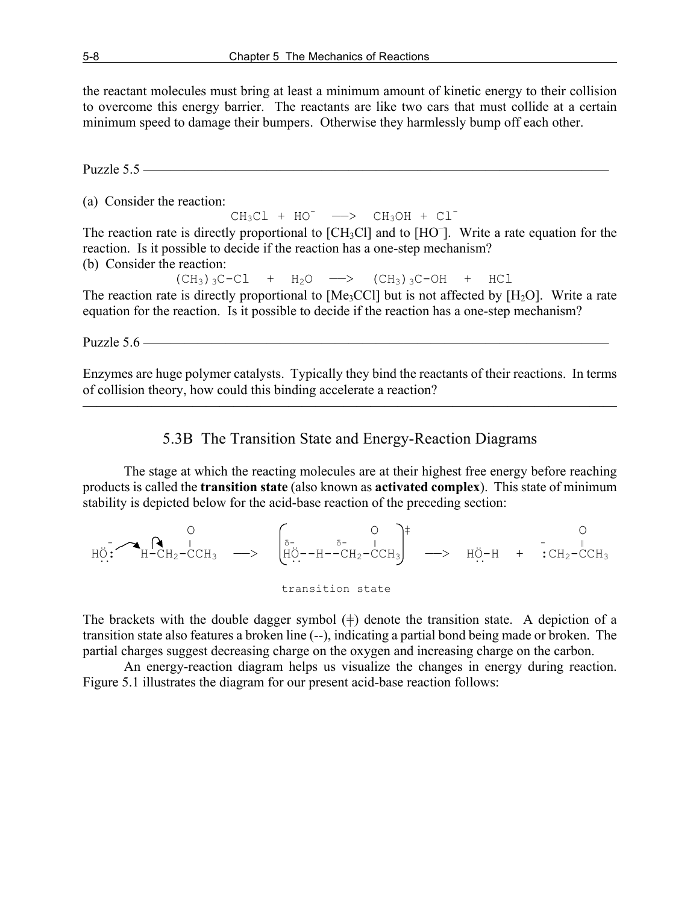the reactant molecules must bring at least a minimum amount of kinetic energy to their collision to overcome this energy barrier. The reactants are like two cars that must collide at a certain minimum speed to damage their bumpers. Otherwise they harmlessly bump off each other.

Puzzle  $5.5$  ———

(a) Consider the reaction:

 $CH_3Cl$  +  $HO^ \longrightarrow$   $CH_3OH$  +  $Cl^-$ 

The reaction rate is directly proportional to [CH<sub>3</sub>Cl] and to [HO<sup>-</sup>]. Write a rate equation for the reaction. Is it possible to decide if the reaction has a one-step mechanism? (b) Consider the reaction:

 $(CH<sub>3</sub>)<sub>3</sub>C-Cl$  +  $H<sub>2</sub>O$  ->  $(CH<sub>3</sub>)<sub>3</sub>C-OH$  + HCl The reaction rate is directly proportional to  $[Me<sub>3</sub>CC1]$  but is not affected by  $[H<sub>2</sub>O]$ . Write a rate equation for the reaction. Is it possible to decide if the reaction has a one-step mechanism?

Puzzle 5.6 ——————————————————————————————————

Enzymes are huge polymer catalysts. Typically they bind the reactants of their reactions. In terms of collision theory, how could this binding accelerate a reaction?

 $\overline{\phantom{a}}$  , and the contract of the contract of  $\overline{\phantom{a}}$ 

### 5.3B The Transition State and Energy-Reaction Diagrams

The stage at which the reacting molecules are at their highest free energy before reaching products is called the **transition state** (also known as **activated complex**). This state of minimum stability is depicted below for the acid-base reaction of the preceding section:

 O O ‡ O - ‖ <sup>δ</sup>- δ- ‖ - ‖ HÖ: H-CH2-CCH3 ——> HÖ--H--CH2-CCH3 ——> HÖ-H + :CH2-CCH3 .. .. .. transition state

The brackets with the double dagger symbol  $(\dagger)$  denote the transition state. A depiction of a transition state also features a broken line (--), indicating a partial bond being made or broken. The partial charges suggest decreasing charge on the oxygen and increasing charge on the carbon.

An energy-reaction diagram helps us visualize the changes in energy during reaction. Figure 5.1 illustrates the diagram for our present acid-base reaction follows: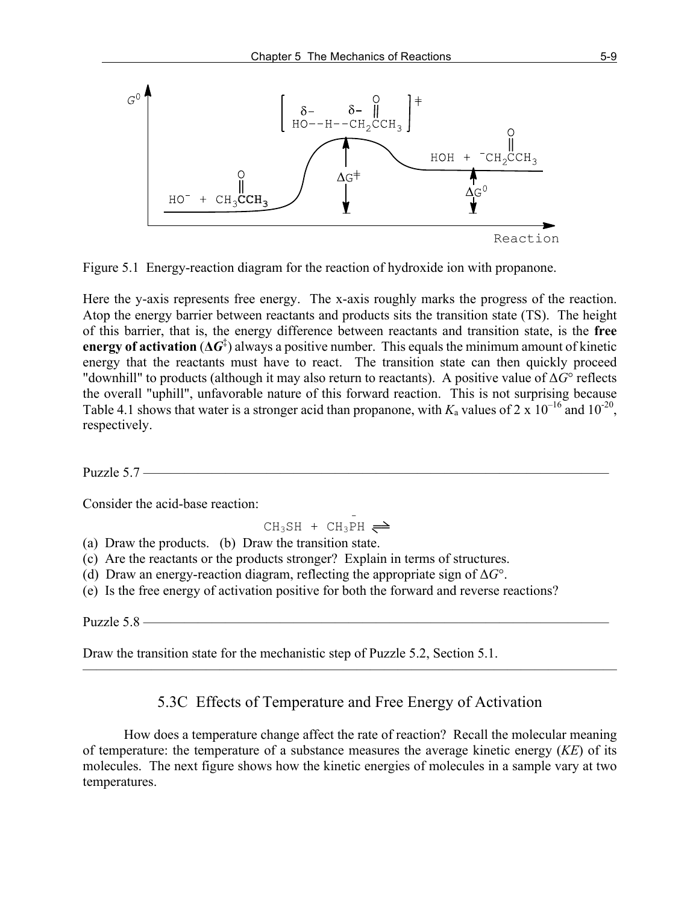

Figure 5.1 Energy-reaction diagram for the reaction of hydroxide ion with propanone.

Here the y-axis represents free energy. The x-axis roughly marks the progress of the reaction. Atop the energy barrier between reactants and products sits the transition state (TS). The height of this barrier, that is, the energy difference between reactants and transition state, is the **free energy of activation**  $(\Delta G^{\ddagger})$  always a positive number. This equals the minimum amount of kinetic energy that the reactants must have to react. The transition state can then quickly proceed "downhill" to products (although it may also return to reactants). A positive value of Δ*G*° reflects the overall "uphill", unfavorable nature of this forward reaction. This is not surprising because Table 4.1 shows that water is a stronger acid than propanone, with  $K_a$  values of 2 x  $10^{-16}$  and  $10^{-20}$ , respectively.

Puzzle  $5.7$  —

Consider the acid-base reaction:

 $CH_3SH + CH_3PH \rightleftharpoons$ 

(a) Draw the products. (b) Draw the transition state.

(c) Are the reactants or the products stronger? Explain in terms of structures.

(d) Draw an energy-reaction diagram, reflecting the appropriate sign of Δ*G*°.

(e) Is the free energy of activation positive for both the forward and reverse reactions?

Puzzle  $5.8 -$ 

Draw the transition state for the mechanistic step of Puzzle 5.2, Section 5.1.

## 5.3C Effects of Temperature and Free Energy of Activation

———————————————————————————————————————

How does a temperature change affect the rate of reaction? Recall the molecular meaning of temperature: the temperature of a substance measures the average kinetic energy (*KE*) of its molecules. The next figure shows how the kinetic energies of molecules in a sample vary at two temperatures.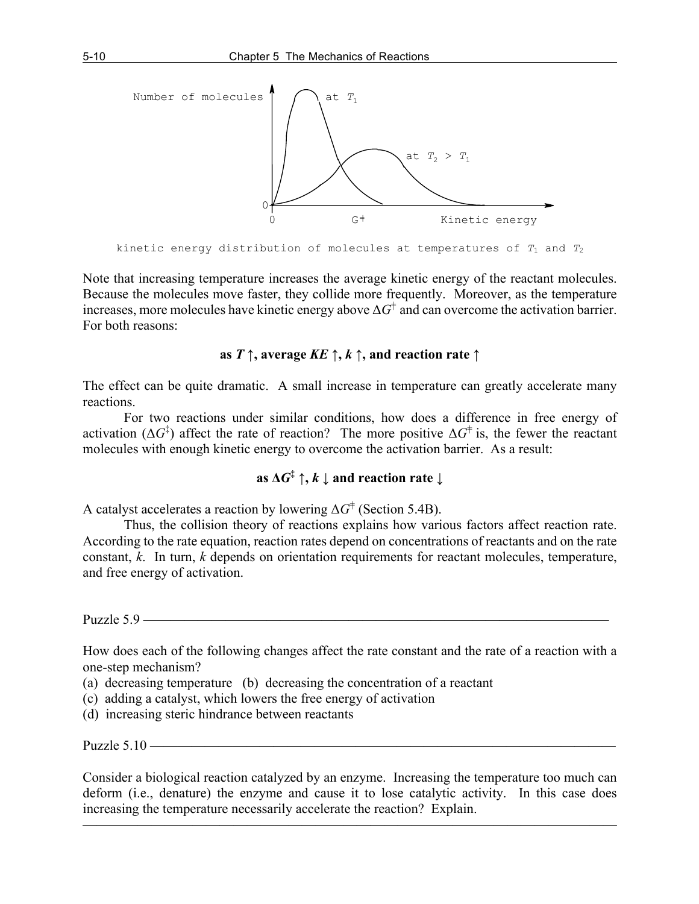

```
kinetic energy distribution of molecules at temperatures of T1 and T2
```
Note that increasing temperature increases the average kinetic energy of the reactant molecules. Because the molecules move faster, they collide more frequently. Moreover, as the temperature increases, more molecules have kinetic energy above  $\Delta G^{\dagger}$  and can overcome the activation barrier. For both reasons:

### **as** *T ↑***, average** *KE ↑***,** *k ↑***, and reaction rate ↑**

The effect can be quite dramatic. A small increase in temperature can greatly accelerate many reactions.

For two reactions under similar conditions, how does a difference in free energy of activation ( $\Delta G^{\dagger}$ ) affect the rate of reaction? The more positive  $\Delta G^{\dagger}$  is, the fewer the reactant molecules with enough kinetic energy to overcome the activation barrier. As a result:

# **as**  $\Delta G^{\ddagger} \uparrow$ ,  $k \downarrow$  and reaction rate  $\downarrow$

A catalyst accelerates a reaction by lowering  $\Delta G^{\dagger}$  (Section 5.4B).

Thus, the collision theory of reactions explains how various factors affect reaction rate. According to the rate equation, reaction rates depend on concentrations of reactants and on the rate constant, *k*. In turn, *k* depends on orientation requirements for reactant molecules, temperature, and free energy of activation.

Puzzle 5.9 ————

How does each of the following changes affect the rate constant and the rate of a reaction with a one-step mechanism?

- (a) decreasing temperature (b) decreasing the concentration of a reactant
- (c) adding a catalyst, which lowers the free energy of activation
- (d) increasing steric hindrance between reactants

Puzzle  $5.10 -$ 

Consider a biological reaction catalyzed by an enzyme. Increasing the temperature too much can deform (i.e., denature) the enzyme and cause it to lose catalytic activity. In this case does increasing the temperature necessarily accelerate the reaction? Explain.

———————————————————————————————————————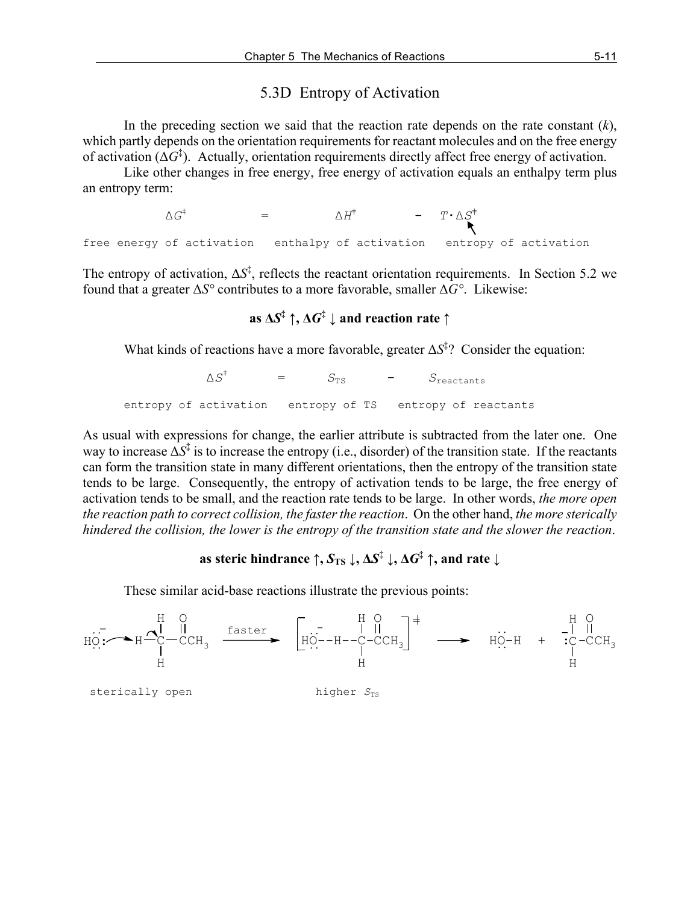### 5.3D Entropy of Activation

In the preceding section we said that the reaction rate depends on the rate constant (*k*), which partly depends on the orientation requirements for reactant molecules and on the free energy of activation (Δ*G*‡ ). Actually, orientation requirements directly affect free energy of activation.

Like other changes in free energy, free energy of activation equals an enthalpy term plus an entropy term:

 $\Delta G^{\ddagger}$  =  $\Delta H^{\ddagger}$  -  $T \cdot \Delta S^{\ddagger}$ free energy of activation enthalpy of activation entropy of activation

The entropy of activation,  $\Delta S^{\ddagger}$ , reflects the reactant orientation requirements. In Section 5.2 we found that a greater Δ*S°* contributes to a more favorable, smaller Δ*G°*. Likewise:

# **as**  $\Delta S^{\ddagger}$  **↑**,  $\Delta G^{\ddagger}$  **↓** and reaction rate  $\uparrow$

What kinds of reactions have a more favorable, greater Δ*S*‡ ? Consider the equation:

 $\wedge S^{\ddagger}$  $=$   $S_{TS}$   $=$   $S_{reactions}$ entropy of activation entropy of TS entropy of reactants

As usual with expressions for change, the earlier attribute is subtracted from the later one. One way to increase  $\Delta S^{\ddagger}$  is to increase the entropy (i.e., disorder) of the transition state. If the reactants can form the transition state in many different orientations, then the entropy of the transition state tends to be large. Consequently, the entropy of activation tends to be large, the free energy of activation tends to be small, and the reaction rate tends to be large. In other words, *the more open the reaction path to correct collision, the faster the reaction*. On the other hand, *the more sterically hindered the collision, the lower is the entropy of the transition state and the slower the reaction*.

# **as steric hindrance**  $\uparrow$ ,  $S_{TS} \downarrow$ ,  $\Delta S^{\ddagger} \downarrow$ ,  $\Delta G^{\ddagger} \uparrow$ , and rate  $\downarrow$

These similar acid-base reactions illustrate the previous points:



sterically open higher  $S_{TS}$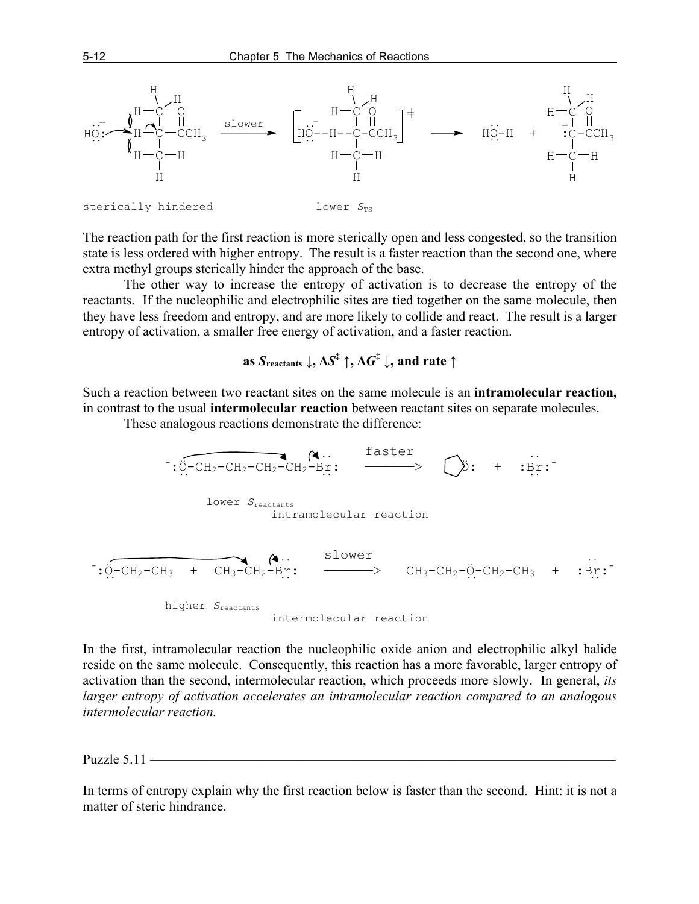

The reaction path for the first reaction is more sterically open and less congested, so the transition state is less ordered with higher entropy. The result is a faster reaction than the second one, where extra methyl groups sterically hinder the approach of the base.

The other way to increase the entropy of activation is to decrease the entropy of the reactants. If the nucleophilic and electrophilic sites are tied together on the same molecule, then they have less freedom and entropy, and are more likely to collide and react. The result is a larger entropy of activation, a smaller free energy of activation, and a faster reaction.

**as** *S*<sub>reactants</sub>  $\downarrow$ ,  $\Delta S^{\ddagger} \uparrow$ ,  $\Delta G^{\ddagger} \downarrow$ , and rate  $\uparrow$ 

Such a reaction between two reactant sites on the same molecule is an **intramolecular reaction,** in contrast to the usual **intermolecular reaction** between reactant sites on separate molecules.

These analogous reactions demonstrate the difference:



In the first, intramolecular reaction the nucleophilic oxide anion and electrophilic alkyl halide reside on the same molecule. Consequently, this reaction has a more favorable, larger entropy of activation than the second, intermolecular reaction, which proceeds more slowly. In general, *its larger entropy of activation accelerates an intramolecular reaction compared to an analogous intermolecular reaction.*

Puzzle  $5.11$  —

In terms of entropy explain why the first reaction below is faster than the second. Hint: it is not a matter of steric hindrance.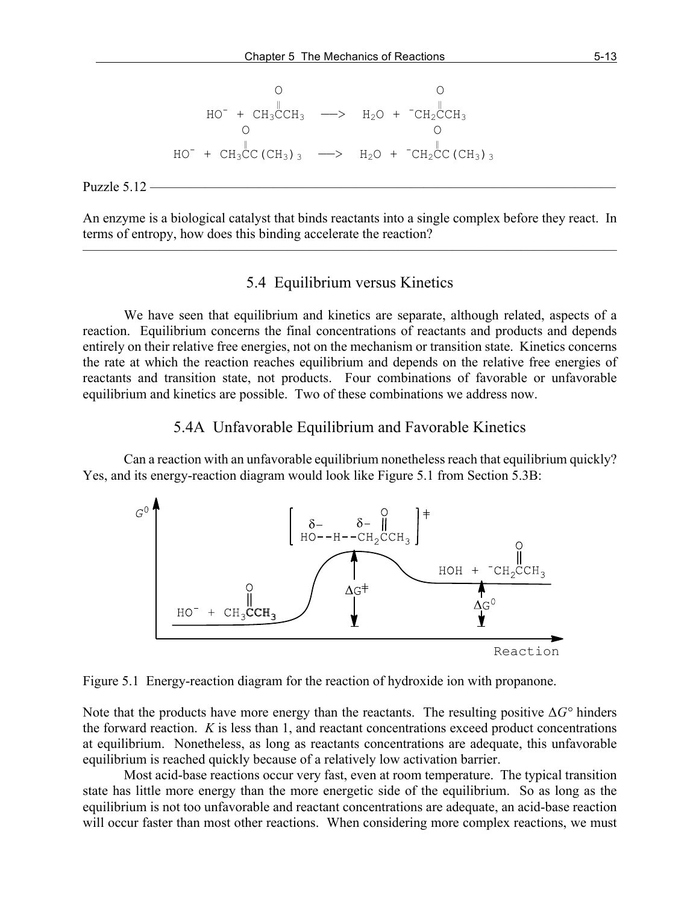O O ‖ ‖ HO- + CH3CCH3 ——> H2O + - CH2CCH3 O O ‖ ‖ HO- + CH3CC(CH3)3 ——> H2O + - CH2CC(CH3)3

Puzzle  $5.12$  –

An enzyme is a biological catalyst that binds reactants into a single complex before they react. In terms of entropy, how does this binding accelerate the reaction?  $\overline{\phantom{a}}$  , and the contract of the contract of  $\overline{\phantom{a}}$ 

## 5.4 Equilibrium versus Kinetics

We have seen that equilibrium and kinetics are separate, although related, aspects of a reaction. Equilibrium concerns the final concentrations of reactants and products and depends entirely on their relative free energies, not on the mechanism or transition state. Kinetics concerns the rate at which the reaction reaches equilibrium and depends on the relative free energies of reactants and transition state, not products. Four combinations of favorable or unfavorable equilibrium and kinetics are possible. Two of these combinations we address now.

### 5.4A Unfavorable Equilibrium and Favorable Kinetics

Can a reaction with an unfavorable equilibrium nonetheless reach that equilibrium quickly? Yes, and its energy-reaction diagram would look like Figure 5.1 from Section 5.3B:



Figure 5.1 Energy-reaction diagram for the reaction of hydroxide ion with propanone.

Note that the products have more energy than the reactants. The resulting positive Δ*G°* hinders the forward reaction. *K* is less than 1, and reactant concentrations exceed product concentrations at equilibrium. Nonetheless, as long as reactants concentrations are adequate, this unfavorable equilibrium is reached quickly because of a relatively low activation barrier.

Most acid-base reactions occur very fast, even at room temperature. The typical transition state has little more energy than the more energetic side of the equilibrium. So as long as the equilibrium is not too unfavorable and reactant concentrations are adequate, an acid-base reaction will occur faster than most other reactions. When considering more complex reactions, we must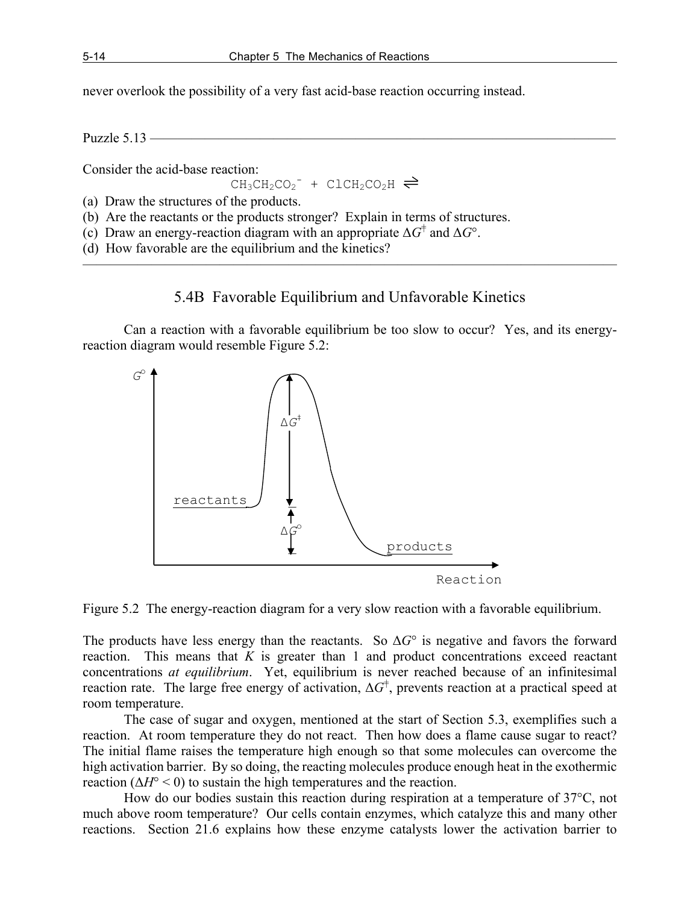never overlook the possibility of a very fast acid-base reaction occurring instead.

Puzzle  $5.13$  —

Consider the acid-base reaction:

 $CH_3CH_2CO_2^-$  +  $CLCH_2CO_2H$ 

(a) Draw the structures of the products.

(b) Are the reactants or the products stronger? Explain in terms of structures.

(c) Draw an energy-reaction diagram with an appropriate  $\Delta G^{\dagger}$  and  $\Delta G^{\circ}$ .

(d) How favorable are the equilibrium and the kinetics?

## 5.4B Favorable Equilibrium and Unfavorable Kinetics

———————————————————————————————————————

Can a reaction with a favorable equilibrium be too slow to occur? Yes, and its energyreaction diagram would resemble Figure 5.2:



Figure 5.2 The energy-reaction diagram for a very slow reaction with a favorable equilibrium.

The products have less energy than the reactants. So  $\Delta G^{\circ}$  is negative and favors the forward reaction. This means that *K* is greater than 1 and product concentrations exceed reactant concentrations *at equilibrium*. Yet, equilibrium is never reached because of an infinitesimal reaction rate. The large free energy of activation,  $\Delta G^{\dagger}$ , prevents reaction at a practical speed at room temperature.

The case of sugar and oxygen, mentioned at the start of Section 5.3, exemplifies such a reaction. At room temperature they do not react. Then how does a flame cause sugar to react? The initial flame raises the temperature high enough so that some molecules can overcome the high activation barrier. By so doing, the reacting molecules produce enough heat in the exothermic reaction  $(\Delta H^{\circ} < 0)$  to sustain the high temperatures and the reaction.

How do our bodies sustain this reaction during respiration at a temperature of 37°C, not much above room temperature? Our cells contain enzymes, which catalyze this and many other reactions. Section 21.6 explains how these enzyme catalysts lower the activation barrier to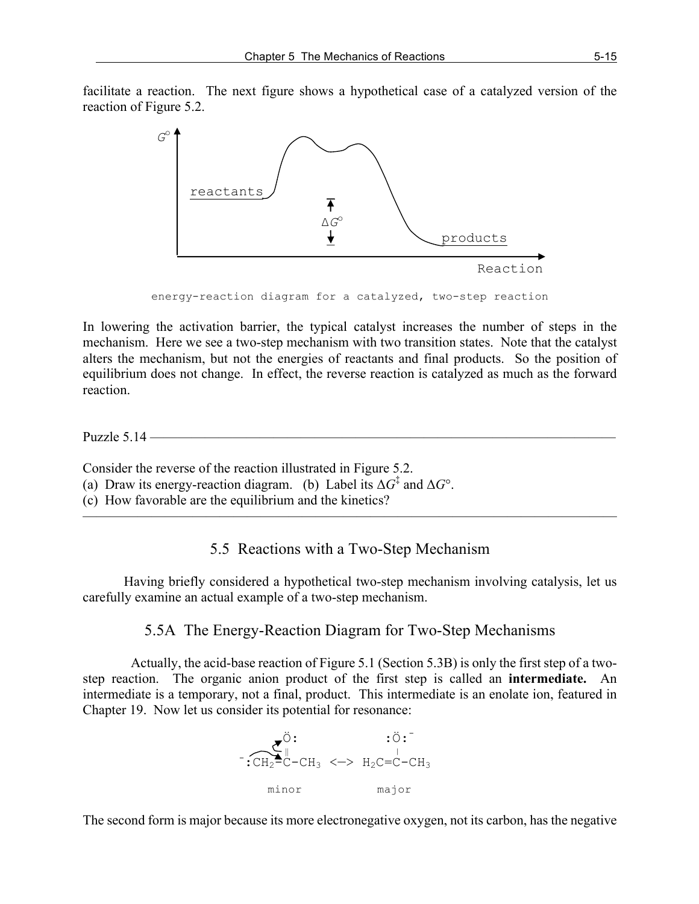facilitate a reaction. The next figure shows a hypothetical case of a catalyzed version of the reaction of Figure 5.2.



energy-reaction diagram for a catalyzed, two-step reaction

In lowering the activation barrier, the typical catalyst increases the number of steps in the mechanism. Here we see a two-step mechanism with two transition states. Note that the catalyst alters the mechanism, but not the energies of reactants and final products. So the position of equilibrium does not change. In effect, the reverse reaction is catalyzed as much as the forward reaction.

Puzzle 5.14 ——————————————————————————————————

Consider the reverse of the reaction illustrated in Figure 5.2.

- (a) Draw its energy-reaction diagram. (b) Label its  $\Delta G^{\ddagger}$  and  $\Delta G^{\circ}$ .
- (c) How favorable are the equilibrium and the kinetics?

## 5.5 Reactions with a Two-Step Mechanism

 $\overline{\phantom{a}}$  , and the contract of the contract of  $\overline{\phantom{a}}$ 

Having briefly considered a hypothetical two-step mechanism involving catalysis, let us carefully examine an actual example of a two-step mechanism.

## 5.5A The Energy-Reaction Diagram for Two-Step Mechanisms

 Actually, the acid-base reaction of Figure 5.1 (Section 5.3B) is only the first step of a twostep reaction. The organic anion product of the first step is called an **intermediate.** An intermediate is a temporary, not a final, product. This intermediate is an enolate ion, featured in Chapter 19. Now let us consider its potential for resonance:



The second form is major because its more electronegative oxygen, not its carbon, has the negative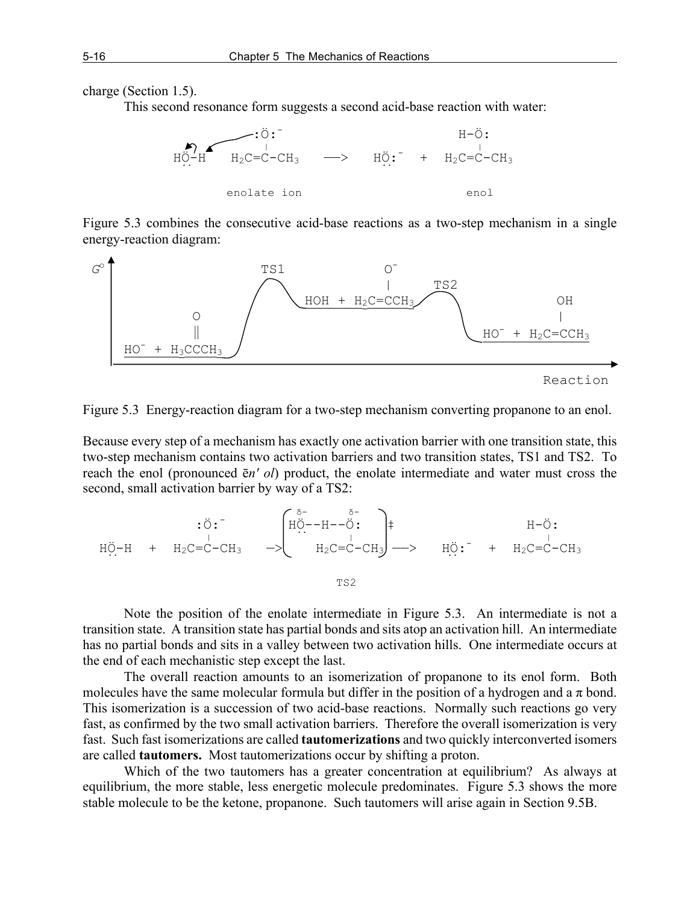charge (Section 1.5).

This second resonance form suggests a second acid-base reaction with water:



Figure 5.3 combines the consecutive acid-base reactions as a two-step mechanism in a single energy-reaction diagram:



```
 Reaction
```
Figure 5.3 Energy-reaction diagram for a two-step mechanism converting propanone to an enol.

Because every step of a mechanism has exactly one activation barrier with one transition state, this two-step mechanism contains two activation barriers and two transition states, TS1 and TS2. To reach the enol (pronounced ē*n' ol*) product, the enolate intermediate and water must cross the second, small activation barrier by way of a TS2:

$$
H\ddot{\mathcal{O}}-H + H_2C=C-CH_3 \rightarrow \begin{pmatrix} \delta^- & \delta^- \\ H\ddot{\mathcal{O}}-H-\ddot{\mathcal{O}} & H_2C \\ \vdots & \vdots \\ H_2C=C-CH_3 \end{pmatrix} \rightarrow H\ddot{\mathcal{O}}: H\ddot{\mathcal{O}}: H\ddot{\mathcal{O}}: H\ddot{\mathcal{O}}: H\ddot{\mathcal{O}}: H\ddot{\mathcal{O}}: H\ddot{\mathcal{O}}: H\ddot{\mathcal{O}}: H\ddot{\mathcal{O}}: H\ddot{\mathcal{O}}: H\ddot{\mathcal{O}}: H\ddot{\mathcal{O}}: H\ddot{\mathcal{O}}: H\ddot{\mathcal{O}}: H\ddot{\mathcal{O}}: H\ddot{\mathcal{O}}: H\ddot{\mathcal{O}}: H\ddot{\mathcal{O}}: H\ddot{\mathcal{O}}: H\ddot{\mathcal{O}}: H\ddot{\mathcal{O}}: H\ddot{\mathcal{O}}: H\ddot{\mathcal{O}}: H\ddot{\mathcal{O}}: H\ddot{\mathcal{O}}: H\ddot{\mathcal{O}}: H\ddot{\mathcal{O}}: H\ddot{\mathcal{O}}: H\ddot{\mathcal{O}}: H\ddot{\mathcal{O}}: H\ddot{\mathcal{O}}: H\ddot{\mathcal{O}}: H\ddot{\mathcal{O}}: H\ddot{\mathcal{O}}: H\ddot{\mathcal{O}}: H\ddot{\mathcal{O}}: H\ddot{\mathcal{O}}: H\ddot{\mathcal{O}}: H\ddot{\mathcal{O}}: H\ddot{\mathcal{O}}: H\ddot{\mathcal{O}}: H\ddot{\mathcal{O}}: H\ddot{\mathcal{O}}: H\ddot{\mathcal{O}}: H\ddot{\mathcal{O}}: H\ddot{\mathcal{O}}: H\ddot{\mathcal{O}}: H\ddot{\mathcal{O}}: H\ddot{\mathcal{O}}: H\ddot{\mathcal{O}}: H\ddot{\mathcal{O}}: H\ddot{\mathcal{O}}: H\ddot{\mathcal{O}}: H\ddot{\mathcal{O}}: H\ddot{\mathcal{O}}: H\ddot{\mathcal{O}}: H\ddot{\mathcal{O}}: H\ddot{\mathcal{O}}: H\ddot{\mathcal{O}}: H\ddot{\mathcal{O}}: H\ddot{\mathcal{O
$$

Note the position of the enolate intermediate in Figure 5.3. An intermediate is not a transition state. A transition state has partial bonds and sits atop an activation hill. An intermediate has no partial bonds and sits in a valley between two activation hills. One intermediate occurs at the end of each mechanistic step except the last.

The overall reaction amounts to an isomerization of propanone to its enol form. Both molecules have the same molecular formula but differ in the position of a hydrogen and a  $\pi$  bond. This isomerization is a succession of two acid-base reactions. Normally such reactions go very fast, as confirmed by the two small activation barriers. Therefore the overall isomerization is very fast. Such fast isomerizations are called **tautomerizations** and two quickly interconverted isomers are called **tautomers.** Most tautomerizations occur by shifting a proton.

Which of the two tautomers has a greater concentration at equilibrium? As always at equilibrium, the more stable, less energetic molecule predominates. Figure 5.3 shows the more stable molecule to be the ketone, propanone. Such tautomers will arise again in Section 9.5B.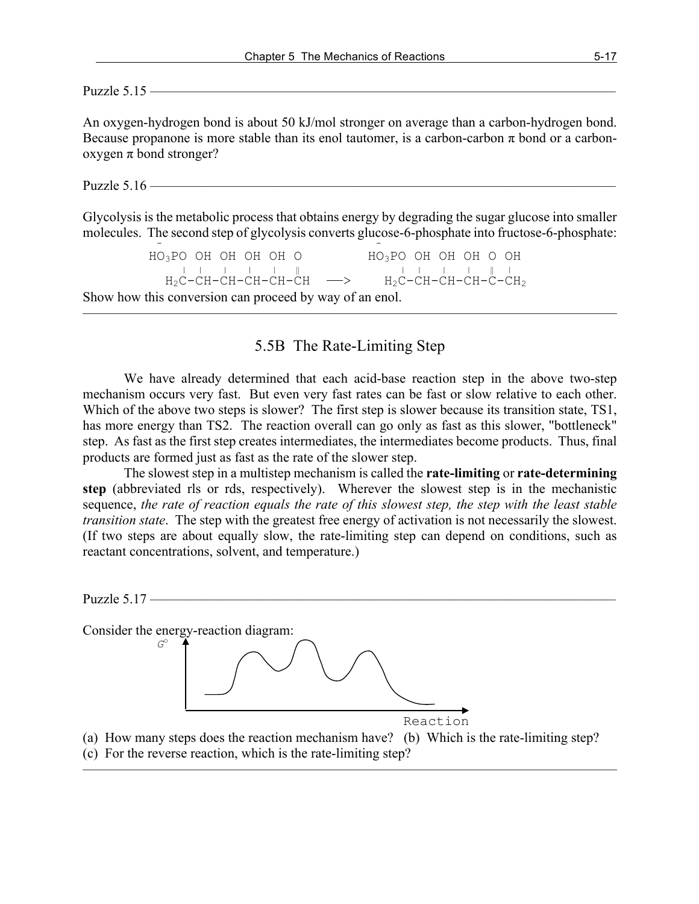Puzzle 5.15 ——————————————————————————————————

An oxygen-hydrogen bond is about 50 kJ/mol stronger on average than a carbon-hydrogen bond. Because propanone is more stable than its enol tautomer, is a carbon-carbon  $\pi$  bond or a carbonoxygen π bond stronger?

Puzzle 5.16 ——————————

Glycolysis is the metabolic process that obtains energy by degrading the sugar glucose into smaller molecules. The second step of glycolysis converts glucose-6-phosphate into fructose-6-phosphate:

 HO3PO OH OH OH OH O HO3PO OH OH OH O OH | | | | | ‖ | | | <sup>|</sup> ‖ <sup>|</sup>  $_{\rm H_2C-CH-CH-CH-CH-CH}$   $\longrightarrow$   $_{\rm H_2C-CH-CH-CH-CH_2}$ Show how this conversion can proceed by way of an enol.

## 5.5B The Rate-Limiting Step

———————————————————————————————————————

We have already determined that each acid-base reaction step in the above two-step mechanism occurs very fast. But even very fast rates can be fast or slow relative to each other. Which of the above two steps is slower? The first step is slower because its transition state, TS1, has more energy than TS2. The reaction overall can go only as fast as this slower, "bottleneck" step. As fast as the first step creates intermediates, the intermediates become products. Thus, final products are formed just as fast as the rate of the slower step.

The slowest step in a multistep mechanism is called the **rate-limiting** or **rate-determining step** (abbreviated rls or rds, respectively). Wherever the slowest step is in the mechanistic sequence, *the rate of reaction equals the rate of this slowest step, the step with the least stable transition state*. The step with the greatest free energy of activation is not necessarily the slowest. (If two steps are about equally slow, the rate-limiting step can depend on conditions, such as reactant concentrations, solvent, and temperature.)

Puzzle 5.17 —————

Consider the energy-reaction diagram:



(a) How many steps does the reaction mechanism have? (b) Which is the rate-limiting step? (c) For the reverse reaction, which is the rate-limiting step?

———————————————————————————————————————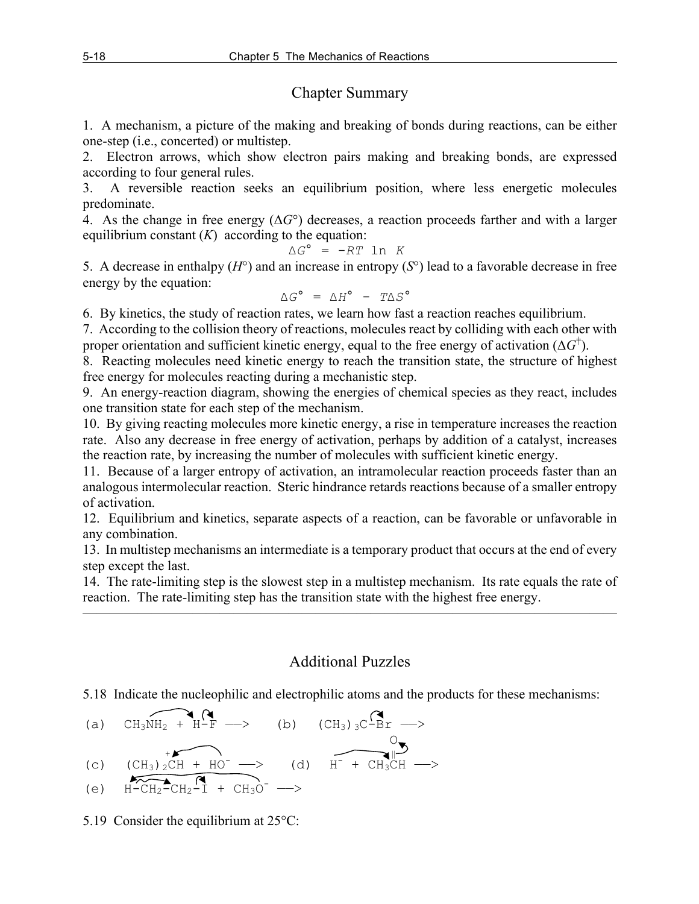## Chapter Summary

1. A mechanism, a picture of the making and breaking of bonds during reactions, can be either one-step (i.e., concerted) or multistep.

2. Electron arrows, which show electron pairs making and breaking bonds, are expressed according to four general rules.

3. A reversible reaction seeks an equilibrium position, where less energetic molecules predominate.

4. As the change in free energy (Δ*G*°) decreases, a reaction proceeds farther and with a larger equilibrium constant  $(K)$  according to the equation:

$$
\Delta G^{\circ} = -RT \ln K
$$

5. A decrease in enthalpy (*H*°) and an increase in entropy (*S*°) lead to a favorable decrease in free energy by the equation:

$$
\Delta G^{\circ} = \Delta H^{\circ} - T \Delta S^{\circ}
$$

6. By kinetics, the study of reaction rates, we learn how fast a reaction reaches equilibrium.

7. According to the collision theory of reactions, molecules react by colliding with each other with proper orientation and sufficient kinetic energy, equal to the free energy of activation  $(\Delta G^{\dagger})$ .

8. Reacting molecules need kinetic energy to reach the transition state, the structure of highest free energy for molecules reacting during a mechanistic step.

9. An energy-reaction diagram, showing the energies of chemical species as they react, includes one transition state for each step of the mechanism.

10. By giving reacting molecules more kinetic energy, a rise in temperature increases the reaction rate. Also any decrease in free energy of activation, perhaps by addition of a catalyst, increases the reaction rate, by increasing the number of molecules with sufficient kinetic energy.

11. Because of a larger entropy of activation, an intramolecular reaction proceeds faster than an analogous intermolecular reaction. Steric hindrance retards reactions because of a smaller entropy of activation.

12. Equilibrium and kinetics, separate aspects of a reaction, can be favorable or unfavorable in any combination.

13. In multistep mechanisms an intermediate is a temporary product that occurs at the end of every step except the last.

14. The rate-limiting step is the slowest step in a multistep mechanism. Its rate equals the rate of reaction. The rate-limiting step has the transition state with the highest free energy.

———————————————————————————————————————

# Additional Puzzles

5.18 Indicate the nucleophilic and electrophilic atoms and the products for these mechanisms:

(a) 
$$
CH_3NH_2 + H-F \longrightarrow
$$
 (b)  $(CH_3)_3C-Br \longrightarrow$ 

(c) 
$$
\overbrace{(CH_3)_2CH + HO^-}^{+}
$$
 (d) 
$$
\overbrace{H^- + CH_3CH}^{0} \longrightarrow
$$

$$
\text{(e)} \quad \overbrace{\text{H-CH}_2\text{-CH}_2\text{-}1}^{\text{R}} + \overbrace{\text{CH}_3\text{O}^-} \longrightarrow
$$

5.19 Consider the equilibrium at 25°C: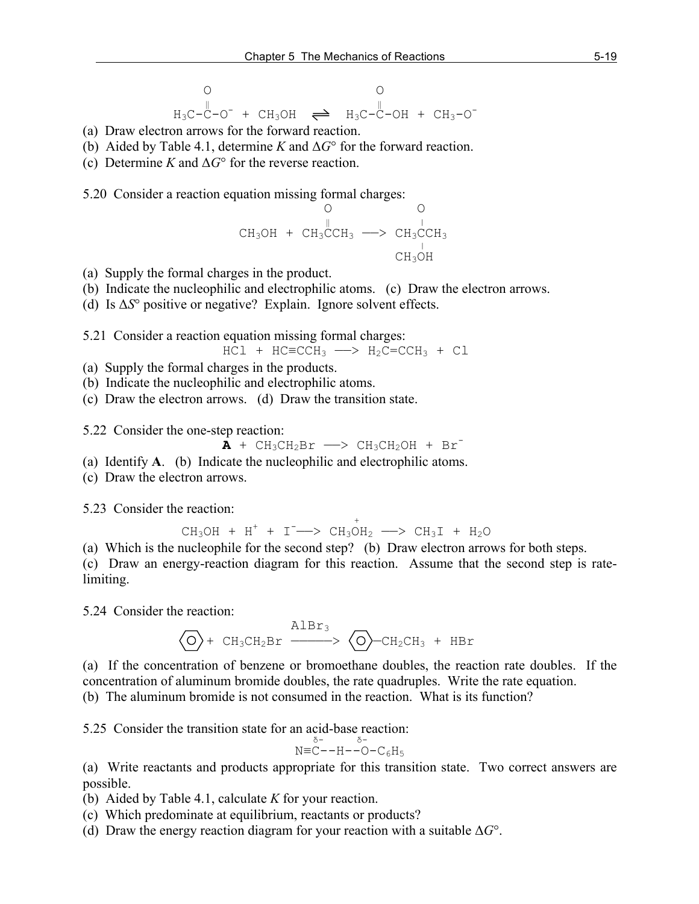O O ‖ ‖ H3C-C-O- + CH3OH ══ H3C-C-OH + CH3-O-

- (a) Draw electron arrows for the forward reaction.
- (b) Aided by Table 4.1, determine *K* and Δ*G*° for the forward reaction.
- (c) Determine *K* and Δ*G*° for the reverse reaction.

5.20 Consider a reaction equation missing formal charges:

$$
\begin{array}{cccc}\n & & & \circ & & \circ \\
 & & \mathbb{I} & & \\
\text{CH}_3\text{OH} + \text{CH}_3\text{CCH}_3 & \longrightarrow & \text{CH}_3\text{CCH}_3 \\
 & & \mathbb{I} & & \\
 & & \mathbb{C}\text{H}_3\text{OH} & & \\
\end{array}
$$

- (a) Supply the formal charges in the product.
- (b) Indicate the nucleophilic and electrophilic atoms. (c) Draw the electron arrows.

(d) Is Δ*S*° positive or negative? Explain. Ignore solvent effects.

5.21 Consider a reaction equation missing formal charges:

$$
\text{HCl} + \text{HC} = \text{CCH}_3 \longrightarrow \text{H}_2\text{C} = \text{CCH}_3 + \text{Cl}
$$

- (a) Supply the formal charges in the products.
- (b) Indicate the nucleophilic and electrophilic atoms.

(c) Draw the electron arrows. (d) Draw the transition state.

5.22 Consider the one-step reaction:

$$
\mathbf{A} + \mathrm{CH}_3\mathrm{CH}_2\mathrm{Br} \longrightarrow \mathrm{CH}_3\mathrm{CH}_2\mathrm{OH} + \mathrm{Br}^-
$$

(a) Identify **A**. (b) Indicate the nucleophilic and electrophilic atoms.

(c) Draw the electron arrows.

5.23 Consider the reaction:  $\frac{1}{2}$  consider the relation.

 $CH_3OH + H^+ + I^- \longrightarrow CH_3OH_2 \longrightarrow CH_3I + H_2O$ 

(a) Which is the nucleophile for the second step? (b) Draw electron arrows for both steps.

(c) Draw an energy-reaction diagram for this reaction. Assume that the second step is ratelimiting.

5.24 Consider the reaction:

$$
\bigodot + CH_3CH_2Br \xrightarrow{\text{AlBr}_3} \bigodot -CH_2CH_3 + HBr
$$

(a) If the concentration of benzene or bromoethane doubles, the reaction rate doubles. If the concentration of aluminum bromide doubles, the rate quadruples. Write the rate equation. (b) The aluminum bromide is not consumed in the reaction. What is its function?

5.25 Consider the transition state for an acid-base reaction:

$$
N = C - H - C - C_6H_5
$$

(a) Write reactants and products appropriate for this transition state. Two correct answers are possible.

(b) Aided by Table 4.1, calculate *K* for your reaction.

(c) Which predominate at equilibrium, reactants or products?

(d) Draw the energy reaction diagram for your reaction with a suitable Δ*G*°.